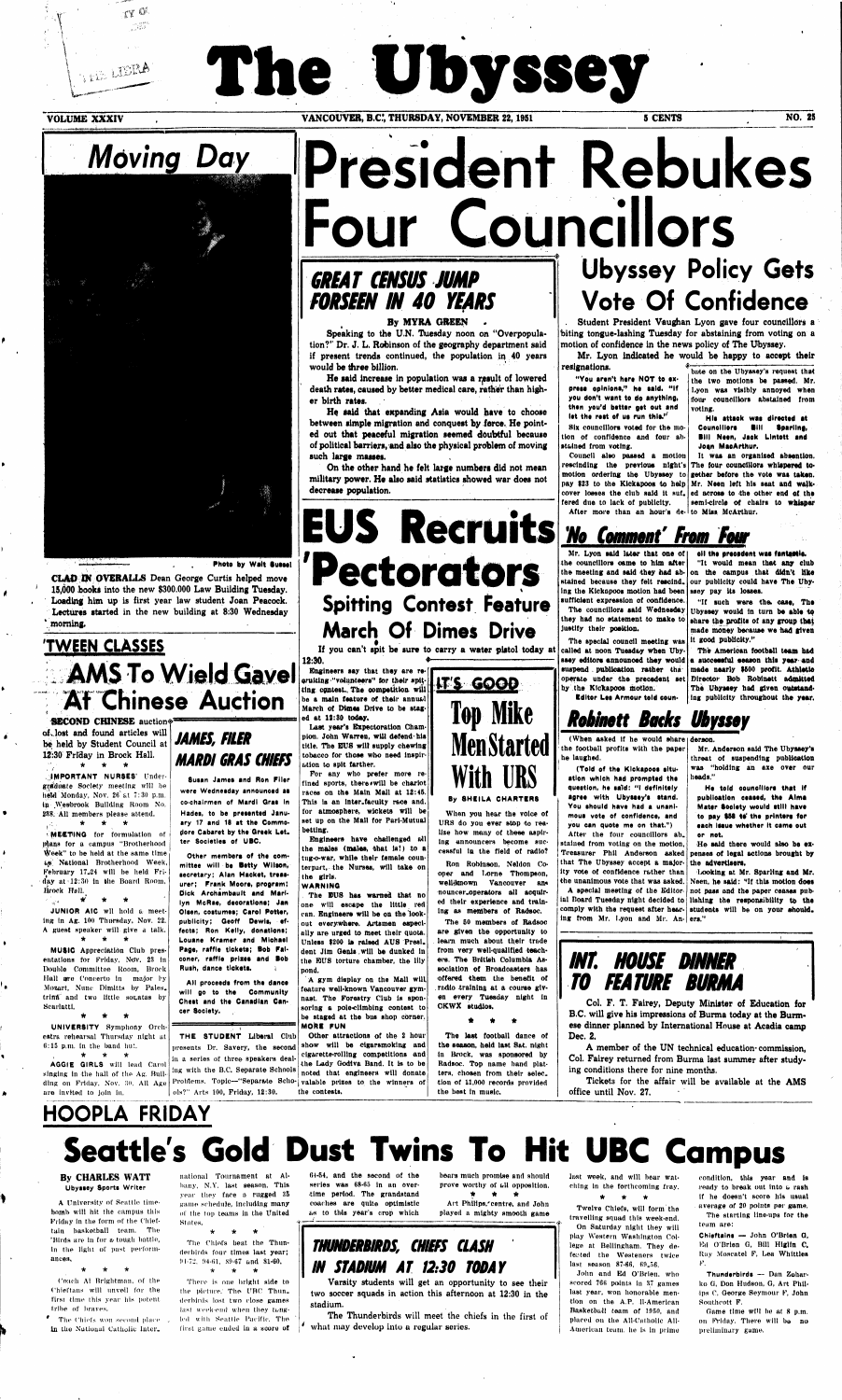**V»\*\*-''** 

 $\alpha$ 

WE LIERA

 $\sim 5\%$ 

# **\* \* The Ubyssey**

**VOLUME XXXIV COUVER, B.C., THURSDAY, NOVEMBER 22, 1951** 5 CENTS NO. 25



**Photo by Walt Sussel** 

### **TWEEN CLASSES : y AMS To Wield Gavel At Chinese Auction**

**CLAD EN OVERALLS Dean George Curtis helped move 15,000 books into the new \$300,000 Law Building Tuesday. Loading him up is first year law student Joan Peacock. Lectures started in the new building at 8:30 Wednesday 'morning,** 

**SECOND CHINESE auction® of, lost and found articles will be held by Student Council at 12-30 Friday in Brock Hall. \* \* \*** 

 $\bullet$ 

 $\bullet$ 

 $\mathbf{r}$ 

 $\blacklozenge$ 

 $\mathbf{r}$ 

À.

**..IMPORTANT NURSES'** Undergraduate Society meeting will be **held**'Monday, Nov. 26'at 7:30 p.m. ip Wesbrook Building Room No. 238. All members please attend.  $\sqrt{3}$ \* \* \*

**MEETING** for formulation of l^ans for a campus "Brotherhood Week" to be held at the same time fc;!\*' National Brotherhood Week, February 17J24 will be held Friday at  $12:30$  in the Board Room, Brock Hall.

\* \* \*  $\mathcal{C}=\mathcal{C}(\mathcal{M})$  . JUNIOR AIC will hold a meeting In Ag. 100 Thursday. Nov. 22. A guest speaker will give a talk. \* \* \*

**MUSIC** Appreciation Club presentations for Friday, Nov. 23 in Double Committee Room, Brock Hall are Concerto in major by Mozart, Nunc Dimitts by Pales. trinft and two little sotatas by Scarlatti.

# President Rebukes **Four Councillors**

### **GREAT CENSUS JUMP FORSEEN IN 40 YEARS**

### **By MYRA GREEN**

\* \* \* **UNIVERSITY** Symphony Orchestra rehearsal Thursday night at 11:15 p.m. In the band hut.

**\* \* \* AGGIE GIRLS will lead Carol**  singing in the hall of the Ag. Building on Friday, Nov. 30. All Age are Invited to join in.

**JAMES, FILER MARDI GRAS CHIEFS**  Pectorators Spitting Contest Feature March Of Dimes

**Smart James and Ron Fllsr were Wednesday announced ss**  co-chairmen of Mardi Gras in **Hades, to be presented January 17 and 18 at the Commodore Cabaret by the Greek Let. ter Societies of UBC.** 

be a main feature of their annual **March ot Dimes Drive to be staged at 12:30 today.** 

**Other members of tha com**mittee will be Betty Wilson, **secretary; Alan Hacket, treasurer; Frank Moors, program; Dick Arohambault and Marilyn McRae, decorations; Jan Olsen, costumes; Carol Potter, publicity; Geoff Dewls, effects; Ron Kelly, donations; Louane Kramer and Mlohasl Page, raffle tickets; Bob Falconer, raffle prises and Bob Rush, dance tickets.** 

**Engineers** have challenged all **the males (Males, that Is!) to a tug-o-war, while their female counterpart, the Nurses, will take on the girls.** 

**All proceeds from the danes will go to the Community**  Chest and the Canadian Can**cer Society.** 

**THE STUDENT Liberal** Club presents Dr. Savery, the second in a series of three speakers dealing with the B.C. Separate Schools Problems. Topic—"Separate Scho-**valable prizes to the winners of**  ols?" Arts 100, Friday, 12:30.

# **Top Mike Men Started With URS**

### **By SHEILA CHARTERS**

**Speaking to the U.N. Tuesday noon on "Overpopulation?" Dr. J. L. Robinson of the geography department said if present trends continued, the population in 40 years would be three billion.** 

**He said increase in population was a result of lowered death rates, caused by better medical care, rather than higher birth rates.** 

**He Said that expanding Asia would have to choose between simple migration and conquest by force. He pointed out that peaceful migration seemed doubtful because of political barriers, and also the physical problem of moving such large masses.** 

**On the other hand he felt large numbers did not mean military power. He also said statistics showed war does not decrease population.** 

**EUS Recruits** 

**His attaok was directed at Councillors Bill Sparling. Bill Nssn, Jaek Lintott and Joan MacArthur.** 

**12:30. • Bnglneers say that they are reorultlng "volunteers" tor their spitting contest.. The competition, will** 



Mr. Lyon said later that one of **the councillors came to him after the meeting and said they had abstained because they felt rescind, our publicity could have The Ubying the Kickapoos motion bad been sufficient expression of confidence.** 

**Last year's Expectoration Champion. John Warren, will defend\* his title. The BUS will supply chewing**  tobacco **for those who need inspiration to spit farther.** 

**For any who prefer more refined sports, there'Will be chariot races on the Main Mall at 12:45.**  This is an inter<sub>-faculty race and,</sub> for **atmosphere, wickets will be set up on the Mall for Pari-Mutual betting.** 

"If such were the case. The **Ubyssey would In turn be able to share the profits of any group that made money because we had given it good publicity."** 

**If you can't spit be sure to carry a water pistol today at** 

#### **WARNING**

**, The BUS has warned that no one will escape the little red can. Bnglneers will be on the lookout everywhere. Artsmen especially are urged to meet their quota. Unless \$200 ls raised AUS Presi. dent Jim Genie will be dunked ln the BUS torture chamber, the Illy pond.** 

**A gym display on the Mall will feature well-known Vancouver gymnast. The Forestry Club is sponsoring a pole«cllmblng contest to be staged at the bus shop corner. MORE FUN** 

**Other attractions of the 2 hour show will be ctgarsmoklng and clg&irette-rolling competitions and the Lady Godiva Band. It la to be noted that engineers will donate the contests.** 

**Tickets for the affair will be available at the AMS office until Nov. 27.**   $\sim 10^{-3}$ 

**When you hear the voice of**  URS do you ever stop to rea**lize how many of these aspiring announcers become successful in the field ot radio?** 

Coach Al Brightman, of the ('hiel'tans will unveil for the first time this year his potent tribe of braves.

 $\bullet$  The Chiefs won second place  $\downarrow$ in the National Catholic Inter-

**Ron Robinson, Neldon Cooper and TiOrne Thompson, weU-iknowtn Vancouver an\* nouncer.operatora all acquired their experience and training as members of Radsoc.** 

\* \* \* The Chiefs beat the Thun-

There is one bright side to the picture.' The UBC Thun. derbirds lost two close games last week-end when they tangled wilb Seattle Pacific. Tho first game ended in a score of

**The 50 members of Radsoc are given the opportunity to learn much about their trade from very well-qualified teachers. The British Columbia Association of Broadcasters has offered them the benefit of**  radio training at a course giv**en every Tuesday night in CKWX studios.** 

01-54, and the second of the series was 68-65 In an overtime period. The grandstand coaches are quite optimistic as to this year's crop which

 $\bullet$ **A**  $\mathbf{A}$ 

**The Thunderbirds** will meet the chiefs **in** the first of what may develop into a regular series.

**The last football dance of the season, held last S&t. night in Brock, was sponsored by Radsoc. Top name band platters, chosen** from **their aelec. tion of 11,000 records provided the best In music.** 

> Twelve Chiefs, will form the travelling squad this week-end. On Saturday night they will play Western Washington College at Bellingham. They defeated the Westeners twice last season  $87-66$ ,  $69-56$ .

# **Ubyssey Policy Gets Vote Of Confidence**

**Student President Vaughan Lyon gave four councillors a biting tongue-lashing Tuesday for abstaining from voting on a motion of confidence in the news policy of The Ubyssey.** 

John and Ed O'Brien, who scored 766 points in 37 games last year, won honorable mention on the A.P, 11-Amerlcan Basketball team of 1950, and placed on the All-Catholic All-American team, he ls in prime

**Mr. Lyon indicated he would be happy to accept their** 

**resignations.** 

**"Yeu aren't hers** NOT **to express opinions," he said. "If you don't want to do anything, then you'd better gst** out **and 1st ths rest of us** run **this."'** 

**Six councillors voted for the motion pf confidence and four abstained from voting.** 

**bute on the Ubyasey's request that the two motions be passed. Mr. Lyon was visibly annoyed when tfouir councillors abstained from voting.** 

**Council also passed a motion rescinding the previous night's motion ordering the Ubyssey to pay \$23 to the Kickapoos to help Mr. Neen left his seat and walkcover losses the club said lt suf. ed across to Che other end of** the **fered due to lack of publicity. After more than an hour's de-to Miss McArthur.** 

# '*No Comment' From Four*

**It was an organised absention. The four councillors whispered together before the vote was taken. semi-circle of chairs to whisper** 

**The councillors said Wednesday they had no statement to make to justify their position.** 

**The special council meeting was called at noon Tuesday when Ubyssey editors announced they would suspend . publication rather tha operate under the precedent set Dlreotor Bob Robinett admitted by the Kickapoos motion.** 

**Editor Les Armour told coun-**

**oil ths precedent wss fantattio. "It would mean that any club on the campus that didn't like ssey pay its losses.** 

**The American football team bad a successful season this year and made nearly 1500 profit. Athletto The Ubyssey had given outstanding publicity throughout the year.** 

### *Robinett Backs Ubyssoy*

**the football profits with the paper he laughed.** 

**(When asked if he would share derson.** 

**(Told of** the **Kickapoos situ**ation which had prompted the **question, he said: "I definitely agree with Ubyssey's stand. You should have had a unani**mous vote of confidence, and **you can quote me on that.") After the four councillors ab. stained from voting on the motion, Treasurer Phil Anderson asked that The Ubyssey accept a major-**the **advertisers.**  ity vote of confidence rather than **the unanimous vote that was asked. Neen, he said: ''If this motion does ial Board Tuesday night decided to lishing the responsibility to** ths comply with the request after hear- students will be on your should. **ing from Mr. Lyon and Mr. An-ers."** 

**Mr. Anderson said The Ubyssey's threat of suspending publication was "holding an axe over** our **heads."** 

**A special meeting of the Editor-not pass and the paper ceases pub-Looking at Mr. Sparling and Mr.** 

**He told councillors that If publication ceased, ths Alms Matsr Sooiety would still have**  to pay \$58 to the printers for **each issue whether It cams out or not.** 

**He said there would also be expenses of legal actions brought by** 

### **INT. HOUSE DINNER TO FEATURE BURMA**

**Col. F. T. Fairey, Deputy Minister of Education for B.C. will give his impressions of Burma today at the Burmese dinner planned by International House at Acadia camp Dec. 2.** 

**A member of the UN technical education-commission, Col. Fairey returned from Burma last summer after studying conditions there for nine months.** 

# HOOPLA FRIDAY **Seattle's Gold Dust Twins To Hit UBC Campus**

#### **By CHARLES WATT Ubyssey Sports Writer**

A University of Seattle timebomb will hit the campus this Friday In the form of the Chieftain basketball team. The 'Birds are in for a tough battle, in the light of past performances,

\* \* \*

national Tournament at Albany, N.Y. last season. This year they face a rugged 35 game schedule, including many of the top teams in the United States.

derbirds four times last year; 91-72, 94-61, 89-67 and 81-60. \* \* \*

bears much promise and should prove worthy of all opposition. \*\*\*\*\* \* Art Philips.'centre, and John

played a mighty smooth **game** 

### **THUNDERBIRDS, CHIEFS CLASH LN STADIUM AT 12:30 TODAY**

**Varsity students will get an opportunity to see their two soccer squads in action this afternoon at 12:30 in the stadium.** 

lust week, and will bear watching in the forthcoming fray.

### \* \* \*

condition, this year and Is ready to break out into a rash if he doesn't score his usual average of 20 points per game.

The starting line-ups for the team are:

**Chieftains** — John **O'Brien O,**  lOd O'Brien G, Bill **Hlglln C.**  Ray Moscatel F, Lea Whittles P.

**Thunderbirds** — Dan Zaharko G, Don Hudson, G, Art Philips C, George Seymour P, John Southcott F.

Game time will be at 8 p.m. on Friday. There will be no preliminary game.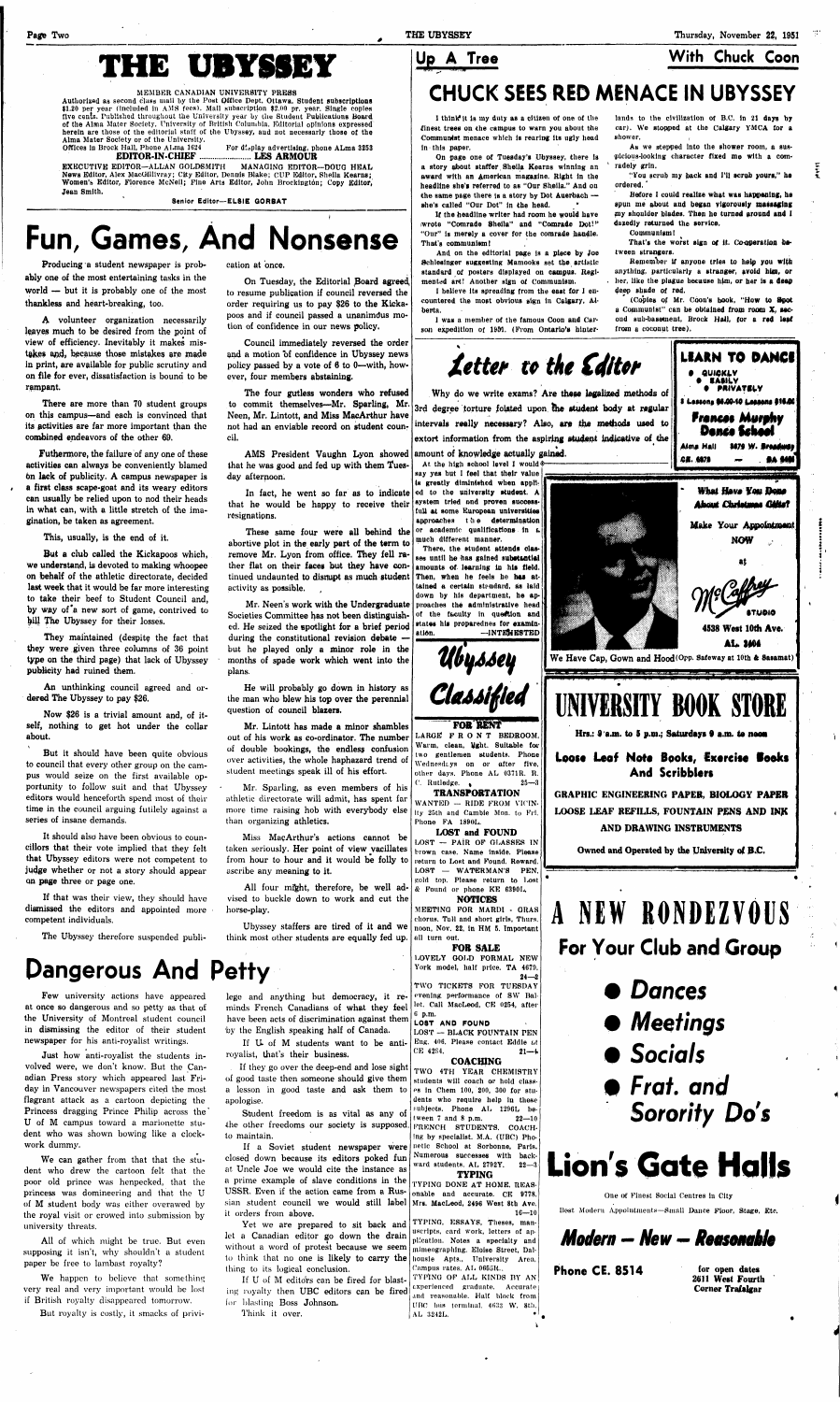# **THE UBYSSEY**

#### MEMBER CANADIAN UNIVERSITY PRESS

Authorized as second class mail by the Post Office Dept. Ottawa. Student subscriptions \$1.20 per year (included In AMS fees). Mail subscription \$2.00 pr. year. Single copies five cents. Published throughout the University year by the Student Publications Board of the Alma Mater Society, University of British Columbia. Editorial opinions expressed herein are those of the editorial staff of the Ubyssey, aud not necessarly those of the Alma Mater Society or of the University.

For display advertising, phone ALma 3253 **EDITOR-IN-CHIEF LES ARMOUR** 

EXECUTIVE EDITOR—ALLAN GOLDSMITH MANAGING EDITOR—DOUG HEAL News Editor, Alex MacGillivray; City Editor, Dennis Blake; CUP Editor, Sheila Kearns; Women's Editor, Florence McNeil; Fine Arts Editor, John Brockington; Copy Editor, Jean Smith.

**Senior Editor— EL8IE QORBAT** 

Futhermore, the failure of any one of these activities can always be conveniently blamed on lack of publicity. A campus newspaper is a first class scape-goat and its weary editors can usually be relied upon to nod their heads in what can, with a little stretch of the imagination, be taken as agreement.

# **Fun, Games, And Nonsense**

Producing a student newspaper is probably one of the most entertaining tasks in the world — but it is probably one of the most thankless and heart-breaking, too.

A volunteer organization necessarily leaves much to be desired from the point of view of efficiency. Inevitably it makes mistakes and, because those mistakes are made in print, are available for public scrutiny and on file for ever, dissatisfaction is bound to be rampant.

There are more than 70 student groups on this campus—and each is convinced that its activities are far more important than the combined endeavors of the other 69.

If that was their view, they should have dismissed the editors and appointed more competent individuals.

This, usually, is the end of it.

But a club called the Kickapoos which, we understand, is devoted to making whoopee on behalf of the athletic directorate, decided last week that it would be far more interesting to take their beef to Student Council and, by way of'a new sort of game, contrived to bill The Ubyssey for their losses.

They maintained (despite the fact that they were given three columns of 36 point type on the third page) that lack of Ubyssey publicity had ruined them.

An unthinking council agreed and ordered The Ubyssey to pay \$26.

Now \$26 is a trivial amount and, of itself, nothing to get hot under the collar about.

> All four might, therefore, be well advised to buckle down to work and cut the horse-play.

But it should have been quite obvious to council that every other group on the campus would seize on the first available opportunity to follow suit and that Ubyssey editors would henceforth spend most of their time in the council arguing futilely against a series of insane demands.

On page one of Tuesday's Ubyssey, there ls a story about staffer, Sheila Kearns winning an award with an American magazine. Right in the headline she's referred to as "Our Sheila." And on the same page there is a story by Dot Auerbach she's called "Our Dot" in the head.

It should also have been obvious to councillors that their vote implied that they felt that Ubyssey editors were not competent to judge whether or not a story should appear qn page three or page one.

1 was a member of the famous Coon and Carson expedition of 1951. (From Ontario's hinter-

**Letter** to **the Editor** 

The Ubyssey therefore suspended publi-

cation at once.

As we stepped into the shower room, a suspicious-looking character fixed me with a comradely grin.

On Tuesday, the Editorial Board agreed to resume publication if council reversed the order requiring us to pay \$26 to the Kickapoos and if council passed a unanimdus motion of confidence in our news policy.

Before I could realize what was happening, he spun me about and began vigorously massaging my shoulder blades. Then he turned around and I dazedly returned the service.

That's the worst sign of it. Co-operation between strangers.

Council immediately reversed the order and a motion of confidence in Ubyssey news policy passed by a vote of 6 to 0—with, however, four members abstaining.

The four gutless wonders who refused to commit themselves—Mr. Sparling, Mr. Neen, Mr. Lintott, and Miss MacArthur have not had an enviable record on student council.

AMS President Vaughn Lyon showed that he was good and fed up with them Tuesday afternoon.

In fact, he went so far as to indicate that he would be happy to receive their resignations.

These same four were all behind the abortive plot in the early part of the term to remove Mr. Lyon from office. They fell rather flat on their faces but they have continued undaunted to disrupt as much student activity as possible.

Mr. Neen's work with the Undergraduate Societies Committee has not been distinguished. He seized the spotlight for a brief period during the constitutional revision debate but he played only a minor role in the months of spade work which went into the plans.

He will probably go down in history as the man who blew his top over the perennial

question of council blazers.

Mr. Lintott has made a minor shambles out of his work as co-ordinator. The number of double bookings, the endless confusion over activities, the whole haphazard trend of student meetings speak ill of his effort.

If U of M students want to be antiroyalist, that's their business.

Mr. Sparling, as even members of his athletic directorate will admit, has spent far more time raising hob with everybody else than organizing athletics.

Miss MapArthur's actions cannot be taken seriously. Her point of view vacillates from hour to hour and it would be folly to ascribe any meaning to it.

If U of M editors can be fired for blasting royalty then UBC editors can be fired for blasting Boss Johnson.

# **Up A Tree With Chuck Coon**

# **CHUCK SEES RED MENACE IN UBYSSEY**

If the headline writer had room he would have (wrote "Comrade Sheila" and "Comrade Dot!" "Our" ls merely a cover for the comrade handle. That's communism!

And on the editorial page is a piece by Joe Schleslnger suggesting Mamooks set the, artistic standard of posters displayed on campus. Regimented art! Another sign of Communism.

I believe Its spreading from the east for I encountered the most obvious sign in Calgary, Alberta.

# NEW RONDEZVOUS **For Your Club and Group**

**Dances** 

1

I think it is my duty as a citizen of one of the finest trees on the campus to warn you about the Communist menace which is rearing its ugly head in this paper.

> "You scrub my back and I'll scrub yours," he ordered.'

Communism!

Remember if anyone tries to help you with anything, particularly a stranger, avoid him, or . ber, like the plague because him, or her is a deep deep shade of red.

(Copies of Mr. Coon's hook, "How to Spot a Communist" can be obtained from room X, second sub-basement, Brock Hall, for a red leaf from a coconut tree).

Why do we write exams? Are these legalized methods of 3rd degree torture foisted upon the student body at regular intervals really necessary? Also, are the methods used to extort information from the aspiring student indicative of the

lands to the civilization of B.C. in 21 days by car). We stopped at the Calgary YMCA for a shower.

**Dangerous And Petty** 

Ubyssey staffers are tired of it and we think most other students are equally fed up. all turn out.

Few university actions have appeared at once so dangerous and so petty as that of the University of Montreal student council in dismissing the editor of their student newspaper for his anti-royalist writings.

Just how anti-royalist the students involved were, we don't know. But the Canadian Press story which appeared last Friday in Vancouver newspapers cited the most flagrant attack as a cartoon depicting the Princess dragging Prince Philip across the\* U of M campus toward a marionette student who was shown bowing like a clockwork dummy.

We can gather from that that the student who drew the cartoon felt that the poor old prince was henpecked, that the princess was domineering and that the U of M student body was either overawed by the royal visit or crowed into submission by university threats.

All of which might be true. But even supposing it isn't, why shouldn't a student paper be free to lambast royalty?

We happen to believe that something very real and very important would be lost if British royalty disappeared tomorrow.

But royalty is costly, it smacks of privi-

lege and anything but democracy, it reminds French Canadians of what they feel have been acts of discrimination against them by the English speaking half of Canada.

If they go over the deep-end and lose sight of good taste then someone should give them a lesson in good taste and ask them to apologise.

Student freedom is as vital as any of the other freedoms our society is supposed. to maintain.

If a Soviet student newspaper were closed down because its editors poked fun at Uncle Joe we would cite the instance as a prime example of slave conditions in the USSR. Even if the action came from a Russian student council we would still label it orders from above.

Yet we are prepared to sit back and let a Canadian editor go down the drain without a word of protest because we seem to think that no one is likely to carry the thing to its logical conclusion.

Think it over.

**FOR RENT** 

LARGE FRONT BEDROOM. Warm, clean, Ught. Suitable far two gentlemen students. Phone Wednesdays on or after five, other days. Phone AL 0371R. R. C. Rutledge.  $\bullet$  25—3

**TRANSPORTATION**  WANTED - RIDE FROM VICIN-Ity 25th and Cambie Mon. to Fri. Phone FA 1890L.

#### LOST and FOUND

LOST — PAIR OF GLASSES IN brown case. Name Inside. Please return to Lost and Found. Reward. LOST — WATERMAN'S PEN. sold top. Please return to Lost & Found or phone KE 6390L.

### **NOTICES**

MEETING FOR MARDI - GRAS chorus. Tall and short girls, Thurs. noon, Nov. 22, In HM 5. Important

**FOR SALE**  LOVELY GOLD FORMAL NEW York model, half price. TA 4679. 24—2 TWO TICKETS FOR TUESDAY

evening performance of SW Ballet. Call MacLeod, CE 0254, after 0 p.m.

#### LOST AND FOUND

LOST — BLACK FOUNTAIN TEN Eng. 406. Please contact Eddie *ut*   $CE$  4284. 21—4 **COACHING** 



TWO 4TH YEAR CHEMISTRY students will coach or hold class-

es ln Chem 100, 200, 300 for students who require help in these subjects. Phone AL 1296L between 7 and 8 p.m.  $22-10$ FRENCH STUDENTS. COACH-Ing by specialist. M.A. (UBC) Phonetic School at Sorbonne, Paris. Numerous successes with backward students. AL 2792Y. 22—3 **TYPING** 

TYPING DONE AT HOME. REASonable and accurate. CE 9778, Mrs. MacLeod, 2496 West 8th Ave.  $16 - 10$ 

TYPING, ESSAYS, Theses, manuscripts, card work, letters of application. Notes a specialty and mimeographing. Eloise Street, Dalhousie Apts., University Area,

Campus rates. AL  $0655R$ . TYPING OF ALL KINDS BY AN experienced graduate, Accurate and reasonable. Half block from UBC bus terminal. 4633 W. 8th. AL 3242L.

Hrs.: 0 a.m. to S p.m.; Saturdays *9* a.m. to nooa

### **Loost** Leaf Mote Books, Exercise **looks**  And Scribblers

GRAPHIC ENGINEERING PAPER, BIOLOGY PAPER LOOSE LEAF REFILLS, FOUNTAIN PENS AND INK

AND DRAWING INSTRUMENTS

Owned and Operated by the University of B.C.

**BSSES** 

Ù.

- **Meetings**
- **Socials**
- **Frat.** and **Sorority Do's**

# **Lion's Gate Halls**

One ot Finest Social Centres In City

Host Modern Appointments—Small Dance Floor, Stage, Etc.

*Modern - New* **—** *Reasonable* 

Phone CE. 8514 for open dates

2611 West Fourth Corner Trafalgar

*v*